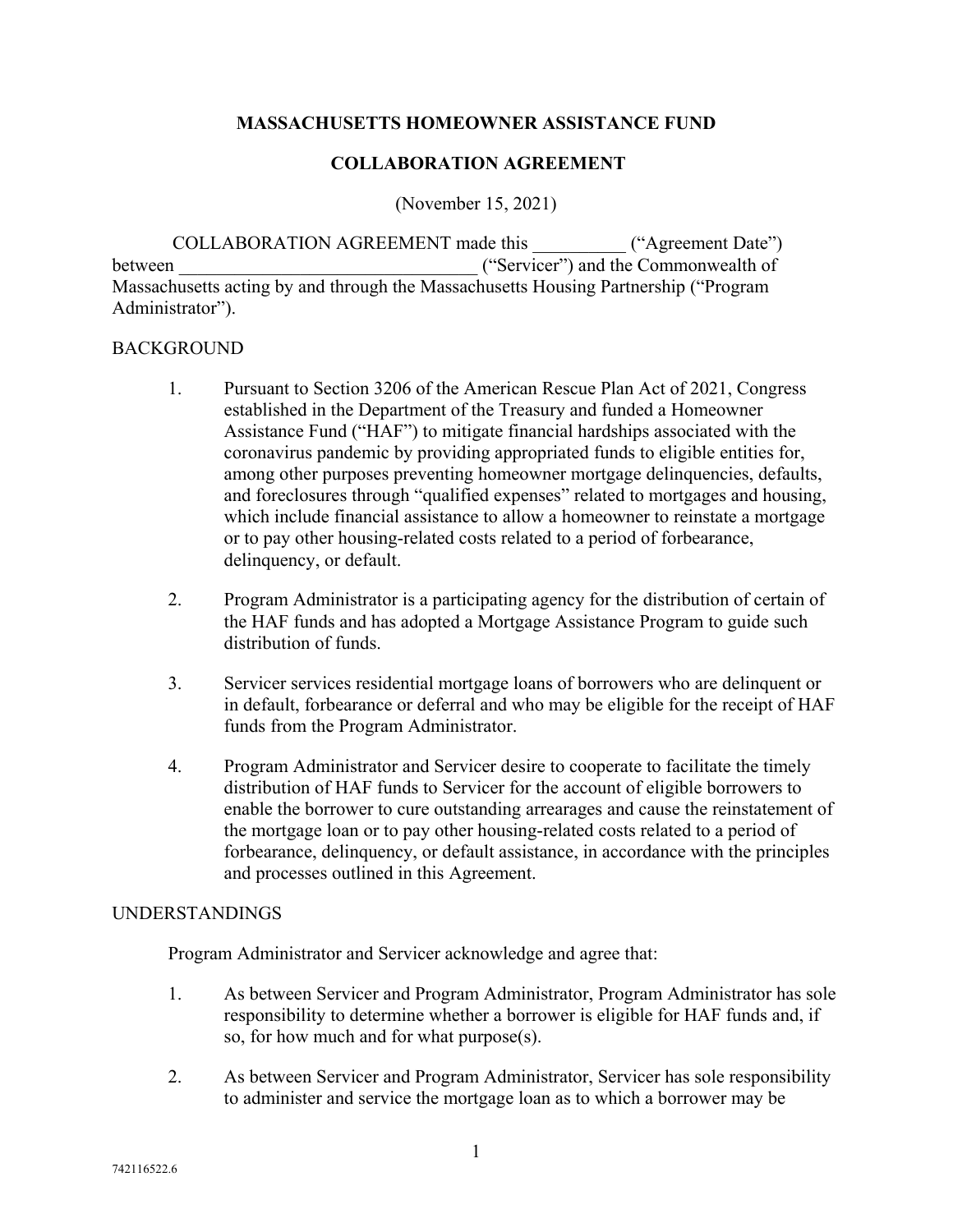## **MASSACHUSETTS HOMEOWNER ASSISTANCE FUND**

## **COLLABORATION AGREEMENT**

(November 15, 2021)

COLLABORATION AGREEMENT made this ("Agreement Date") between  $($ "Servicer") and the Commonwealth of Massachusetts acting by and through the Massachusetts Housing Partnership ("Program Administrator").

#### BACKGROUND

- 1. Pursuant to Section 3206 of the American Rescue Plan Act of 2021, Congress established in the Department of the Treasury and funded a Homeowner Assistance Fund ("HAF") to mitigate financial hardships associated with the coronavirus pandemic by providing appropriated funds to eligible entities for, among other purposes preventing homeowner mortgage delinquencies, defaults, and foreclosures through "qualified expenses" related to mortgages and housing, which include financial assistance to allow a homeowner to reinstate a mortgage or to pay other housing-related costs related to a period of forbearance, delinquency, or default.
- 2. Program Administrator is a participating agency for the distribution of certain of the HAF funds and has adopted a Mortgage Assistance Program to guide such distribution of funds.
- 3. Servicer services residential mortgage loans of borrowers who are delinquent or in default, forbearance or deferral and who may be eligible for the receipt of HAF funds from the Program Administrator.
- 4. Program Administrator and Servicer desire to cooperate to facilitate the timely distribution of HAF funds to Servicer for the account of eligible borrowers to enable the borrower to cure outstanding arrearages and cause the reinstatement of the mortgage loan or to pay other housing-related costs related to a period of forbearance, delinquency, or default assistance, in accordance with the principles and processes outlined in this Agreement.

## UNDERSTANDINGS

Program Administrator and Servicer acknowledge and agree that:

- 1. As between Servicer and Program Administrator, Program Administrator has sole responsibility to determine whether a borrower is eligible for HAF funds and, if so, for how much and for what purpose(s).
- 2. As between Servicer and Program Administrator, Servicer has sole responsibility to administer and service the mortgage loan as to which a borrower may be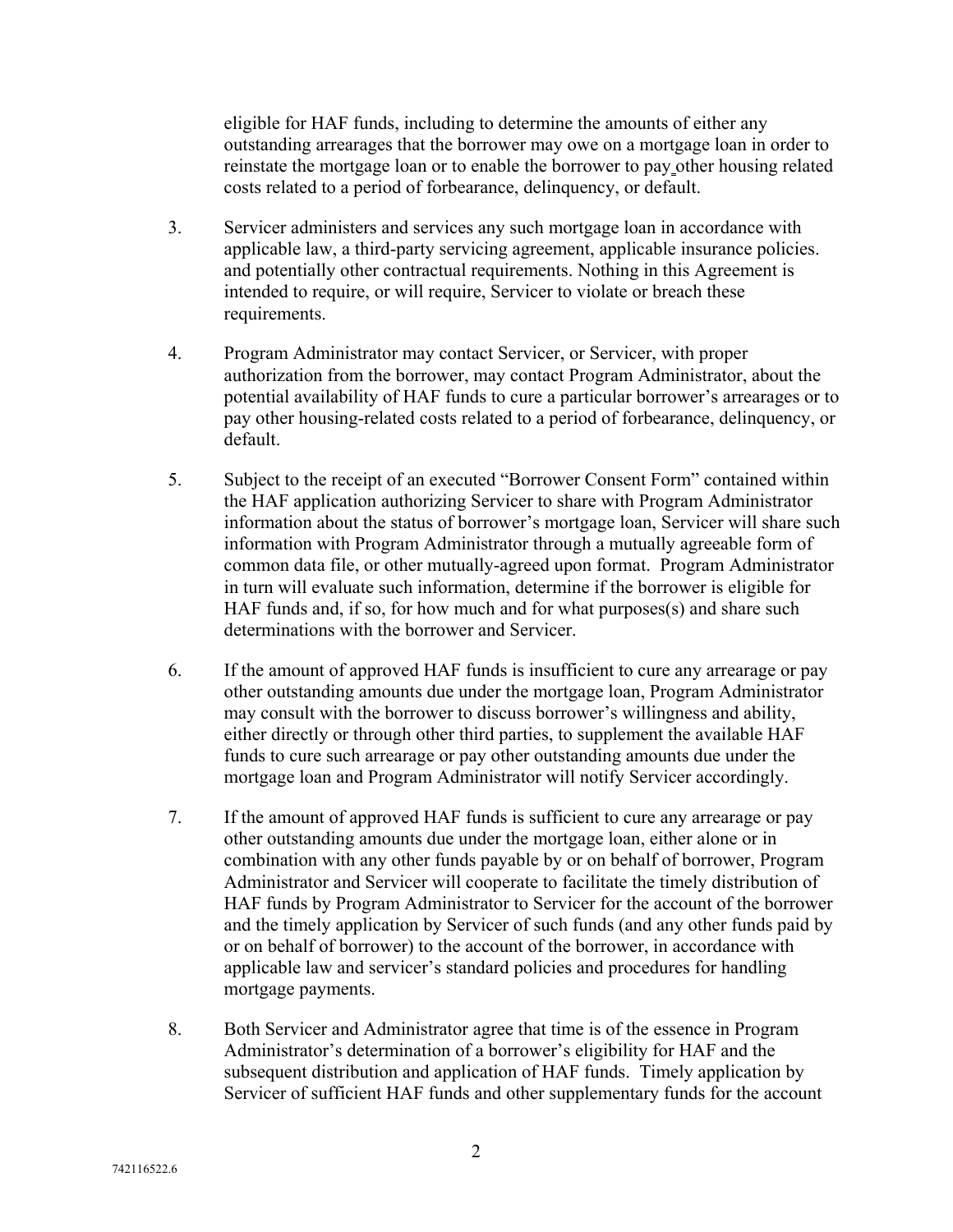eligible for HAF funds, including to determine the amounts of either any outstanding arrearages that the borrower may owe on a mortgage loan in order to reinstate the mortgage loan or to enable the borrower to pay other housing related costs related to a period of forbearance, delinquency, or default.

- 3. Servicer administers and services any such mortgage loan in accordance with applicable law, a third-party servicing agreement, applicable insurance policies. and potentially other contractual requirements. Nothing in this Agreement is intended to require, or will require, Servicer to violate or breach these requirements.
- 4. Program Administrator may contact Servicer, or Servicer, with proper authorization from the borrower, may contact Program Administrator, about the potential availability of HAF funds to cure a particular borrower's arrearages or to pay other housing-related costs related to a period of forbearance, delinquency, or default.
- 5. Subject to the receipt of an executed "Borrower Consent Form" contained within the HAF application authorizing Servicer to share with Program Administrator information about the status of borrower's mortgage loan, Servicer will share such information with Program Administrator through a mutually agreeable form of common data file, or other mutually-agreed upon format. Program Administrator in turn will evaluate such information, determine if the borrower is eligible for HAF funds and, if so, for how much and for what purposes(s) and share such determinations with the borrower and Servicer.
- 6. If the amount of approved HAF funds is insufficient to cure any arrearage or pay other outstanding amounts due under the mortgage loan, Program Administrator may consult with the borrower to discuss borrower's willingness and ability, either directly or through other third parties, to supplement the available HAF funds to cure such arrearage or pay other outstanding amounts due under the mortgage loan and Program Administrator will notify Servicer accordingly.
- 7. If the amount of approved HAF funds is sufficient to cure any arrearage or pay other outstanding amounts due under the mortgage loan, either alone or in combination with any other funds payable by or on behalf of borrower, Program Administrator and Servicer will cooperate to facilitate the timely distribution of HAF funds by Program Administrator to Servicer for the account of the borrower and the timely application by Servicer of such funds (and any other funds paid by or on behalf of borrower) to the account of the borrower, in accordance with applicable law and servicer's standard policies and procedures for handling mortgage payments.
- 8. Both Servicer and Administrator agree that time is of the essence in Program Administrator's determination of a borrower's eligibility for HAF and the subsequent distribution and application of HAF funds. Timely application by Servicer of sufficient HAF funds and other supplementary funds for the account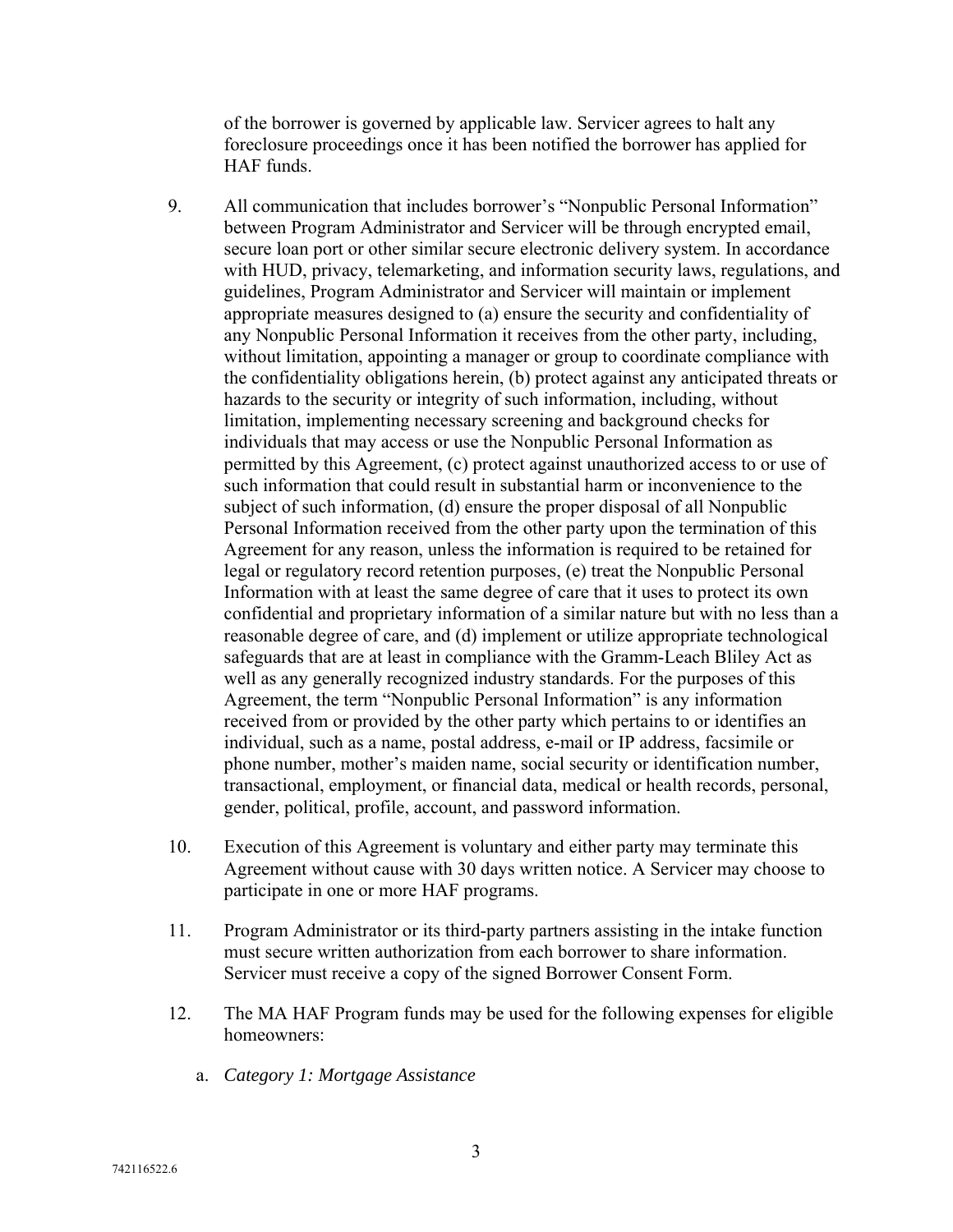of the borrower is governed by applicable law. Servicer agrees to halt any foreclosure proceedings once it has been notified the borrower has applied for HAF funds.

- 9. All communication that includes borrower's "Nonpublic Personal Information" between Program Administrator and Servicer will be through encrypted email, secure loan port or other similar secure electronic delivery system. In accordance with HUD, privacy, telemarketing, and information security laws, regulations, and guidelines, Program Administrator and Servicer will maintain or implement appropriate measures designed to (a) ensure the security and confidentiality of any Nonpublic Personal Information it receives from the other party, including, without limitation, appointing a manager or group to coordinate compliance with the confidentiality obligations herein, (b) protect against any anticipated threats or hazards to the security or integrity of such information, including, without limitation, implementing necessary screening and background checks for individuals that may access or use the Nonpublic Personal Information as permitted by this Agreement, (c) protect against unauthorized access to or use of such information that could result in substantial harm or inconvenience to the subject of such information, (d) ensure the proper disposal of all Nonpublic Personal Information received from the other party upon the termination of this Agreement for any reason, unless the information is required to be retained for legal or regulatory record retention purposes, (e) treat the Nonpublic Personal Information with at least the same degree of care that it uses to protect its own confidential and proprietary information of a similar nature but with no less than a reasonable degree of care, and (d) implement or utilize appropriate technological safeguards that are at least in compliance with the Gramm-Leach Bliley Act as well as any generally recognized industry standards. For the purposes of this Agreement, the term "Nonpublic Personal Information" is any information received from or provided by the other party which pertains to or identifies an individual, such as a name, postal address, e-mail or IP address, facsimile or phone number, mother's maiden name, social security or identification number, transactional, employment, or financial data, medical or health records, personal, gender, political, profile, account, and password information.
- 10. Execution of this Agreement is voluntary and either party may terminate this Agreement without cause with 30 days written notice. A Servicer may choose to participate in one or more HAF programs.
- 11. Program Administrator or its third-party partners assisting in the intake function must secure written authorization from each borrower to share information. Servicer must receive a copy of the signed Borrower Consent Form.
- 12. The MA HAF Program funds may be used for the following expenses for eligible homeowners:
	- a. *Category 1: Mortgage Assistance*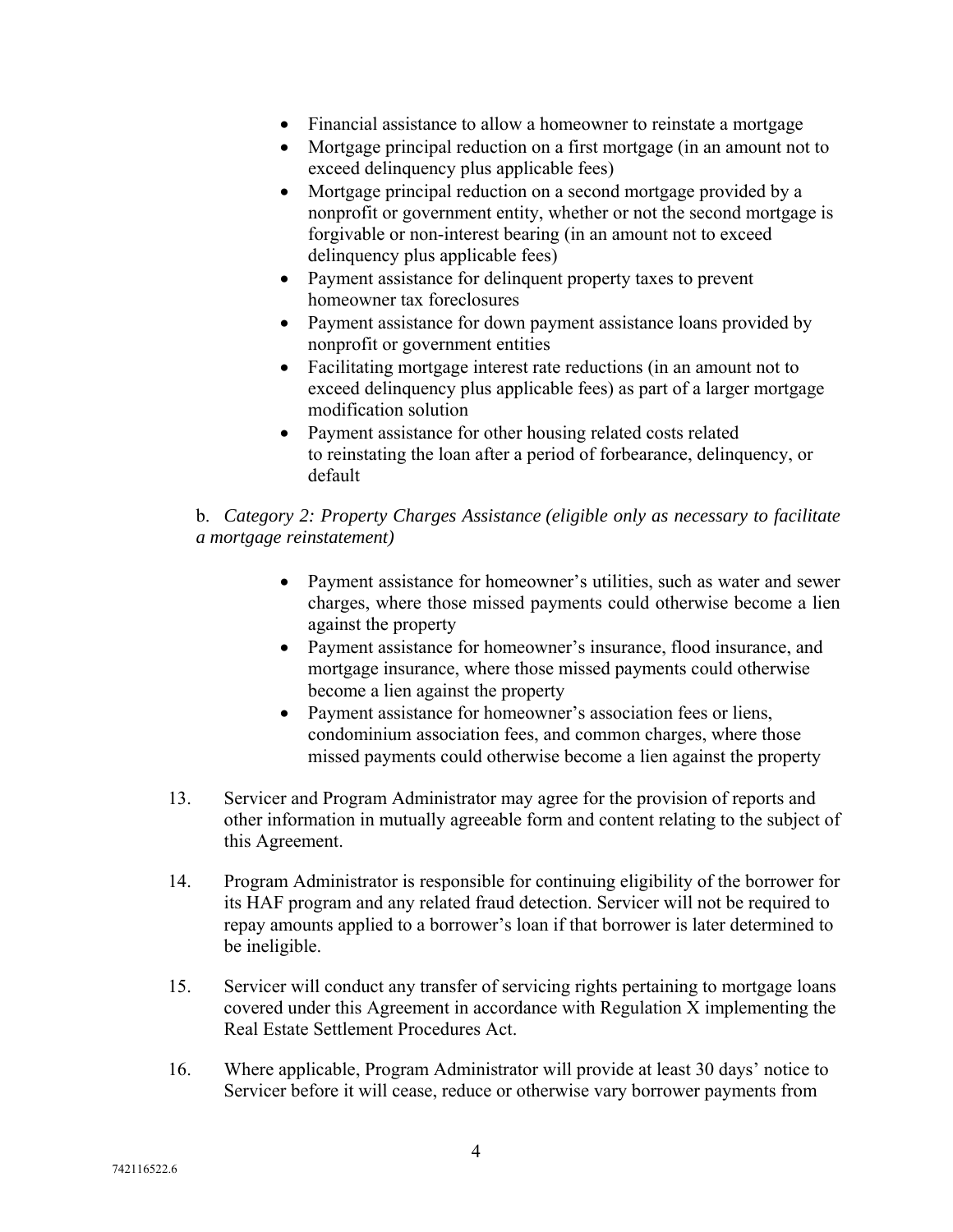- Financial assistance to allow a homeowner to reinstate a mortgage
- Mortgage principal reduction on a first mortgage (in an amount not to exceed delinquency plus applicable fees)
- Mortgage principal reduction on a second mortgage provided by a nonprofit or government entity, whether or not the second mortgage is forgivable or non-interest bearing (in an amount not to exceed delinquency plus applicable fees)
- Payment assistance for delinquent property taxes to prevent homeowner tax foreclosures
- Payment assistance for down payment assistance loans provided by nonprofit or government entities
- Facilitating mortgage interest rate reductions (in an amount not to exceed delinquency plus applicable fees) as part of a larger mortgage modification solution
- Payment assistance for other housing related costs related to reinstating the loan after a period of forbearance, delinquency, or default

# b. *Category 2: Property Charges Assistance (eligible only as necessary to facilitate a mortgage reinstatement)*

- Payment assistance for homeowner's utilities, such as water and sewer charges, where those missed payments could otherwise become a lien against the property
- Payment assistance for homeowner's insurance, flood insurance, and mortgage insurance, where those missed payments could otherwise become a lien against the property
- Payment assistance for homeowner's association fees or liens, condominium association fees, and common charges, where those missed payments could otherwise become a lien against the property
- 13. Servicer and Program Administrator may agree for the provision of reports and other information in mutually agreeable form and content relating to the subject of this Agreement.
- 14. Program Administrator is responsible for continuing eligibility of the borrower for its HAF program and any related fraud detection. Servicer will not be required to repay amounts applied to a borrower's loan if that borrower is later determined to be ineligible.
- 15. Servicer will conduct any transfer of servicing rights pertaining to mortgage loans covered under this Agreement in accordance with Regulation X implementing the Real Estate Settlement Procedures Act.
- 16. Where applicable, Program Administrator will provide at least 30 days' notice to Servicer before it will cease, reduce or otherwise vary borrower payments from